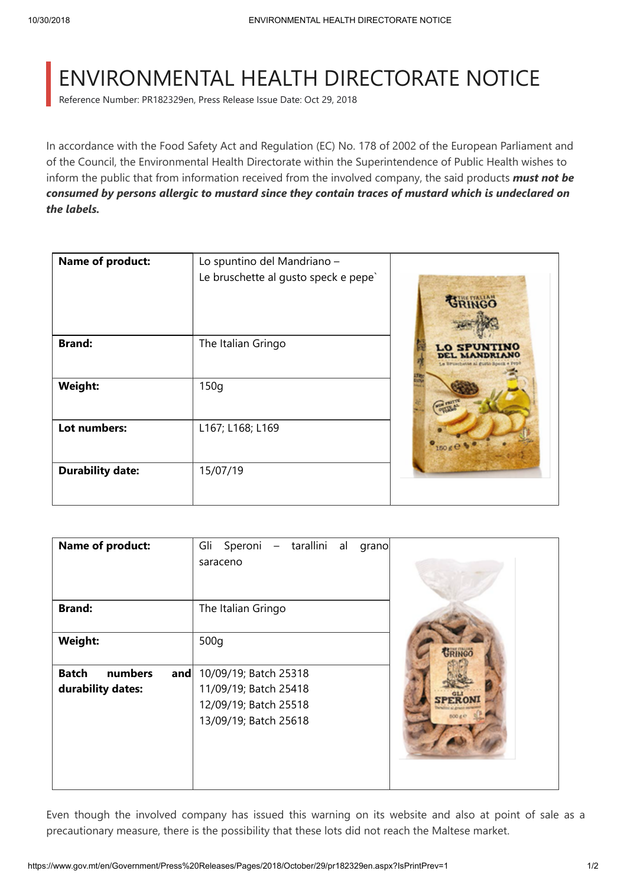## ENVIRONMENTAL HEALTH DIRECTORATE NOTICE

Reference Number: PR182329en, Press Release Issue Date: Oct 29, 2018

In accordance with the Food Safety Act and Regulation (EC) No. 178 of 2002 of the European Parliament and of the Council, the Environmental Health Directorate within the Superintendence of Public Health wishes to inform the public that from information received from the involved company, the said products *must not be consumed by persons allergic to mustard since they contain traces of mustard which is undeclared on the labels.*

| <b>Name of product:</b> | Lo spuntino del Mandriano -<br>Le bruschette al gusto speck e pepe` | GRINGO          |
|-------------------------|---------------------------------------------------------------------|-----------------|
| <b>Brand:</b>           | The Italian Gringo                                                  | <b>LO SPUNT</b> |
| Weight:                 | 150q                                                                |                 |
| Lot numbers:            | L167; L168; L169                                                    | 150 g C         |
| <b>Durability date:</b> | 15/07/19                                                            |                 |

| <b>Name of product:</b>                             | Speroni - tarallini al<br>Gli<br>grano<br>saraceno                                               |  |
|-----------------------------------------------------|--------------------------------------------------------------------------------------------------|--|
| <b>Brand:</b>                                       | The Italian Gringo                                                                               |  |
| Weight:                                             | 500q                                                                                             |  |
| numbers<br><b>Batch</b><br>and<br>durability dates: | 10/09/19; Batch 25318<br>11/09/19; Batch 25418<br>12/09/19; Batch 25518<br>13/09/19; Batch 25618 |  |

Even though the involved company has issued this warning on its website and also at point of sale as a precautionary measure, there is the possibility that these lots did not reach the Maltese market.